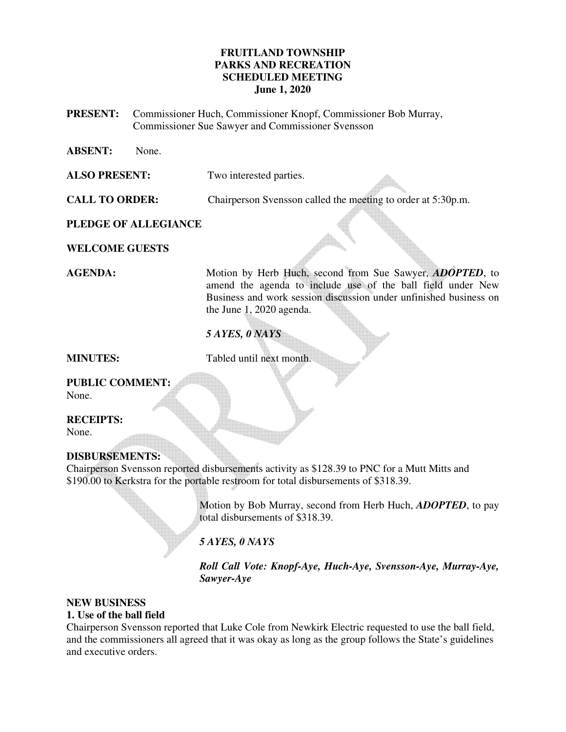## **FRUITLAND TOWNSHIP PARKS AND RECREATION SCHEDULED MEETING June 1, 2020**

- **PRESENT:** Commissioner Huch, Commissioner Knopf, Commissioner Bob Murray, Commissioner Sue Sawyer and Commissioner Svensson
- **ABSENT:** None.

**ALSO PRESENT:** Two interested parties.

**CALL TO ORDER:** Chairperson Svensson called the meeting to order at 5:30p.m.

**PLEDGE OF ALLEGIANCE** 

**WELCOME GUESTS** 

**AGENDA:** Motion by Herb Huch, second from Sue Sawyer, *ADOPTED*, to amend the agenda to include use of the ball field under New Business and work session discussion under unfinished business on the June 1, 2020 agenda.

## *5 AYES, 0 NAYS*

**MINUTES:** Tabled until next month.

## **PUBLIC COMMENT:**  None.

**RECEIPTS:** 

None.

## **DISBURSEMENTS:**

Chairperson Svensson reported disbursements activity as \$128.39 to PNC for a Mutt Mitts and \$190.00 to Kerkstra for the portable restroom for total disbursements of \$318.39.

> Motion by Bob Murray, second from Herb Huch, *ADOPTED*, to pay total disbursements of \$318.39.

*5 AYES, 0 NAYS* 

*Roll Call Vote: Knopf-Aye, Huch-Aye, Svensson-Aye, Murray-Aye, Sawyer-Aye* 

# **NEW BUSINESS**

## **1. Use of the ball field**

Chairperson Svensson reported that Luke Cole from Newkirk Electric requested to use the ball field, and the commissioners all agreed that it was okay as long as the group follows the State's guidelines and executive orders.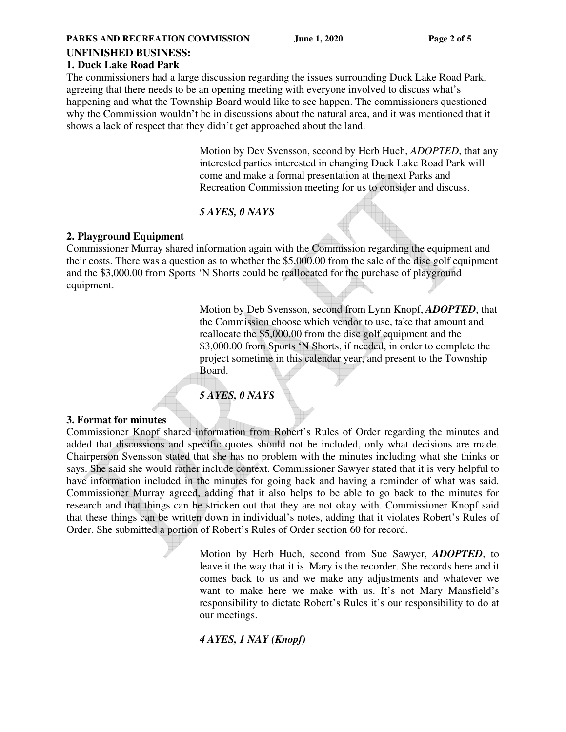### **PARKS AND RECREATION COMMISSION** June 1, 2020 Page 2 of 5

## **UNFINISHED BUSINESS:**

### **1. Duck Lake Road Park**

The commissioners had a large discussion regarding the issues surrounding Duck Lake Road Park, agreeing that there needs to be an opening meeting with everyone involved to discuss what's happening and what the Township Board would like to see happen. The commissioners questioned why the Commission wouldn't be in discussions about the natural area, and it was mentioned that it shows a lack of respect that they didn't get approached about the land.

> Motion by Dev Svensson, second by Herb Huch, *ADOPTED*, that any interested parties interested in changing Duck Lake Road Park will come and make a formal presentation at the next Parks and Recreation Commission meeting for us to consider and discuss.

### *5 AYES, 0 NAYS*

### **2. Playground Equipment**

Commissioner Murray shared information again with the Commission regarding the equipment and their costs. There was a question as to whether the \$5,000.00 from the sale of the disc golf equipment and the \$3,000.00 from Sports 'N Shorts could be reallocated for the purchase of playground equipment.

> Motion by Deb Svensson, second from Lynn Knopf, *ADOPTED*, that the Commission choose which vendor to use, take that amount and reallocate the \$5,000.00 from the disc golf equipment and the \$3,000.00 from Sports 'N Shorts, if needed, in order to complete the project sometime in this calendar year, and present to the Township Board.

*5 AYES, 0 NAYS* 

### **3. Format for minutes**

Commissioner Knopf shared information from Robert's Rules of Order regarding the minutes and added that discussions and specific quotes should not be included, only what decisions are made. Chairperson Svensson stated that she has no problem with the minutes including what she thinks or says. She said she would rather include context. Commissioner Sawyer stated that it is very helpful to have information included in the minutes for going back and having a reminder of what was said. Commissioner Murray agreed, adding that it also helps to be able to go back to the minutes for research and that things can be stricken out that they are not okay with. Commissioner Knopf said that these things can be written down in individual's notes, adding that it violates Robert's Rules of Order. She submitted a portion of Robert's Rules of Order section 60 for record.

> Motion by Herb Huch, second from Sue Sawyer, *ADOPTED*, to leave it the way that it is. Mary is the recorder. She records here and it comes back to us and we make any adjustments and whatever we want to make here we make with us. It's not Mary Mansfield's responsibility to dictate Robert's Rules it's our responsibility to do at our meetings.

*4 AYES, 1 NAY (Knopf)*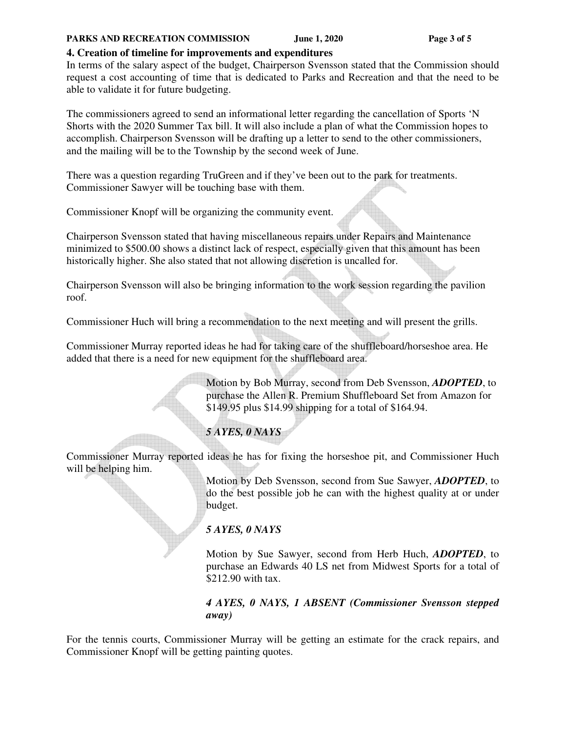### PARKS AND RECREATION COMMISSION June 1, 2020 Page 3 of 5

## **4. Creation of timeline for improvements and expenditures**

In terms of the salary aspect of the budget, Chairperson Svensson stated that the Commission should request a cost accounting of time that is dedicated to Parks and Recreation and that the need to be able to validate it for future budgeting.

The commissioners agreed to send an informational letter regarding the cancellation of Sports 'N Shorts with the 2020 Summer Tax bill. It will also include a plan of what the Commission hopes to accomplish. Chairperson Svensson will be drafting up a letter to send to the other commissioners, and the mailing will be to the Township by the second week of June.

There was a question regarding TruGreen and if they've been out to the park for treatments. Commissioner Sawyer will be touching base with them.

Commissioner Knopf will be organizing the community event.

Chairperson Svensson stated that having miscellaneous repairs under Repairs and Maintenance minimized to \$500.00 shows a distinct lack of respect, especially given that this amount has been historically higher. She also stated that not allowing discretion is uncalled for.

Chairperson Svensson will also be bringing information to the work session regarding the pavilion roof.

Commissioner Huch will bring a recommendation to the next meeting and will present the grills.

Commissioner Murray reported ideas he had for taking care of the shuffleboard/horseshoe area. He added that there is a need for new equipment for the shuffleboard area.

> Motion by Bob Murray, second from Deb Svensson, *ADOPTED*, to purchase the Allen R. Premium Shuffleboard Set from Amazon for \$149.95 plus \$14.99 shipping for a total of \$164.94.

## *5 AYES, 0 NAYS*

Commissioner Murray reported ideas he has for fixing the horseshoe pit, and Commissioner Huch will be helping him.

> Motion by Deb Svensson, second from Sue Sawyer, *ADOPTED*, to do the best possible job he can with the highest quality at or under budget.

## *5 AYES, 0 NAYS*

 Motion by Sue Sawyer, second from Herb Huch, *ADOPTED*, to purchase an Edwards 40 LS net from Midwest Sports for a total of \$212.90 with tax.

## *4 AYES, 0 NAYS, 1 ABSENT (Commissioner Svensson stepped away)*

For the tennis courts, Commissioner Murray will be getting an estimate for the crack repairs, and Commissioner Knopf will be getting painting quotes.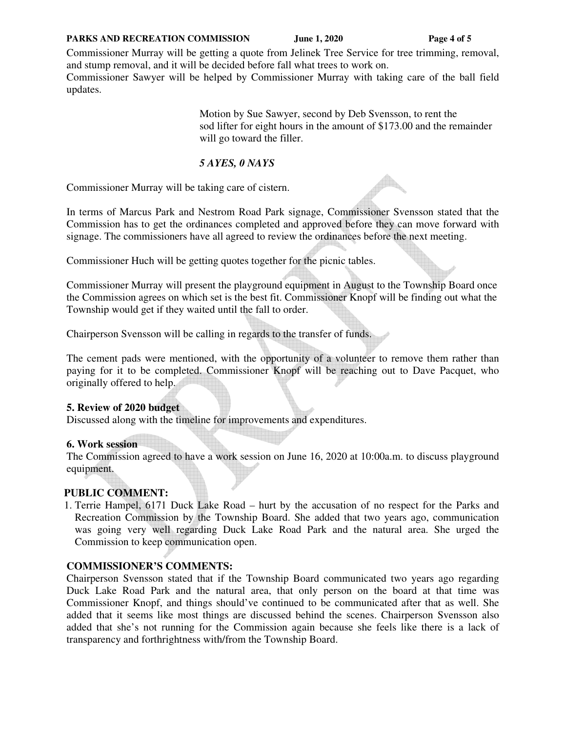### PARKS AND RECREATION COMMISSION June 1, 2020 Page 4 of 5

Commissioner Murray will be getting a quote from Jelinek Tree Service for tree trimming, removal, and stump removal, and it will be decided before fall what trees to work on.

Commissioner Sawyer will be helped by Commissioner Murray with taking care of the ball field updates.

> Motion by Sue Sawyer, second by Deb Svensson, to rent the sod lifter for eight hours in the amount of \$173.00 and the remainder will go toward the filler.

## *5 AYES, 0 NAYS*

Commissioner Murray will be taking care of cistern.

In terms of Marcus Park and Nestrom Road Park signage, Commissioner Svensson stated that the Commission has to get the ordinances completed and approved before they can move forward with signage. The commissioners have all agreed to review the ordinances before the next meeting.

Commissioner Huch will be getting quotes together for the picnic tables.

Commissioner Murray will present the playground equipment in August to the Township Board once the Commission agrees on which set is the best fit. Commissioner Knopf will be finding out what the Township would get if they waited until the fall to order.

Chairperson Svensson will be calling in regards to the transfer of funds.

The cement pads were mentioned, with the opportunity of a volunteer to remove them rather than paying for it to be completed. Commissioner Knopf will be reaching out to Dave Pacquet, who originally offered to help.

## **5. Review of 2020 budget**

Discussed along with the timeline for improvements and expenditures.

## **6. Work session**

The Commission agreed to have a work session on June 16, 2020 at 10:00a.m. to discuss playground equipment.

## **PUBLIC COMMENT:**

1. Terrie Hampel, 6171 Duck Lake Road – hurt by the accusation of no respect for the Parks and Recreation Commission by the Township Board. She added that two years ago, communication was going very well regarding Duck Lake Road Park and the natural area. She urged the Commission to keep communication open.

## **COMMISSIONER'S COMMENTS:**

Chairperson Svensson stated that if the Township Board communicated two years ago regarding Duck Lake Road Park and the natural area, that only person on the board at that time was Commissioner Knopf, and things should've continued to be communicated after that as well. She added that it seems like most things are discussed behind the scenes. Chairperson Svensson also added that she's not running for the Commission again because she feels like there is a lack of transparency and forthrightness with/from the Township Board.